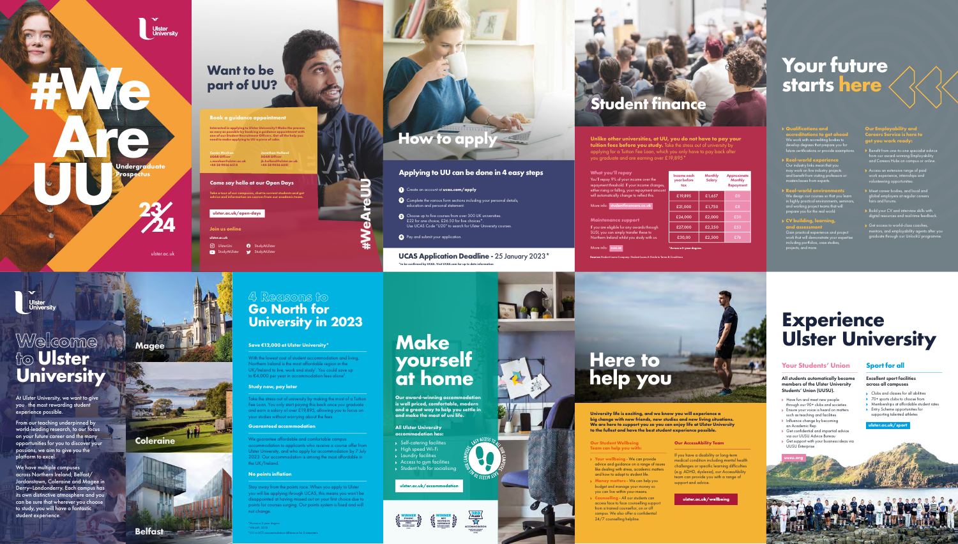

**University life is exciting, and we know you will experience a big change with new friends, new studies and new living situations. We are here to support you so you can enjoy life at Ulster University to the fullest and have the best student experience possible.**

Our Student Wellbeing<br>Team can help you with:<br>\_\_\_\_\_\_\_\_\_\_\_\_\_\_\_\_\_\_\_\_\_\_\_\_\_\_\_\_\_\_\_\_\_\_\_

- **Your wellbeing** We can provide advice and guidance on a range of issues like dealing with stress, academic matters and how to adapt to student life.
- **Money matters** We can help you budget and manage your money so you can live within your means.
- **Counselling** All our students can access face to face counselling support from a trained counsellor, on or off campus. We also offer a confidential 24/7 counselling helpline.

### **Our AccessAbility Team**

\_\_\_\_\_\_\_\_\_\_\_\_\_\_\_\_\_\_\_\_\_\_\_\_\_\_\_\_\_\_\_\_\_\_

ulster.ac.uk/wellbeing

If you have a disability or long-term medical condition including mental health challenges or specific learning difficulties (e.g. ADHD, dyslexia), our AccessAbility team can provide you with a range of support and advice.

- **All Ulster University accommodation has:**
- Self-catering facilities ◆ High speed Wi-Fi **Exercise** Laundry facilities Access to gym facilities
	-

ulster.ac.uk/accommodation

# All students automatically become members of the Ulster University Students' Union (UUSU).

Ensure your voice is heard on matters

With the lowest cost of student accommodation and living, Northern Ireland is the most affordable region in the UK/Ireland to live, work and study<sup>1</sup>. You could save up to  $\in$ 4,000 per year in accommodation fees alone $^2$ .

- Have fun and meet new people through our 90+ clubs and societies
- such as teaching and facilities
- **Influence change by becoming** an Academic Rep
- Get confidential and impartial advice
- via our UUSU Advice Bureau Get support with your business ideas via UUSU Enterprise

### **Your Students' Union** \_\_\_\_\_\_\_\_\_\_\_\_\_\_\_\_\_\_\_\_\_\_\_\_\_\_\_\_\_\_\_\_\_\_ \_\_\_\_\_\_\_\_\_\_\_\_\_\_\_\_\_\_\_\_\_\_\_\_\_\_\_\_\_\_\_\_\_\_

# **Sport for all**

### Excellent sport facilities across all campuses

- Clubs and classes for all abilities
- **▶ 70+ sports clubs to choose from**
- **Memberships at affordable student rates**
- **Entry Scheme opportunities for** supporting talented athletes
- 

# **Experience Ulster University**

**[ulster.ac.uk/sport](http://ulster.ac.uk/sport)**



\*Across a 3-year degree 1 Which?, 2018 UU vs UCS accom



- 
- 
- 
- Student hub for socialising



# Welcome Welcome<br>to Ulster **University**

**Our award-winning accommodation is well priced, comfortable, modern and a great way to help you settle in and make the most of uni life.** 

# **Make yourself at home**

We have multiple campuses across Northern Ireland; Belfast/ Jordanstown, Coleraine and Magee in Derry~Londonderry. Each campus has its own distinctive atmosphere and you can be sure that wherever you choose to study, you will have a fantastic student experience.



# **How to appl**





# **4 Reasons to Go North for Universi ty in 202 3**

# **Save €12,000 at Ulster University\*** \_\_\_\_\_\_\_\_\_\_\_\_\_\_\_\_\_\_\_\_\_\_\_\_\_\_\_\_\_\_\_\_\_\_\_\_\_\_\_\_\_\_\_\_\_\_\_\_

### **Study now, pay later** \_\_\_\_\_\_\_\_\_\_\_\_\_\_\_\_\_\_\_\_\_\_\_\_\_\_\_\_\_\_\_\_\_\_\_\_\_\_\_\_\_\_\_\_\_\_\_\_

Take the stress out of university by making the most of a Tuition Fee Loan. You only start paying this back once you graduate and earn a salary of over £ 1 9,895, allowing you to focus on your studies without worrying about the fees.

**ACCOMMODATION** Stay away from the points race. When you apply to Ulster you will be applying through UCAS, this means you won't be disappointed at having missed out on your first choice due to points for courses surging. Our points system is fixed and will not change.

### **Guaranteed accommodation** \_\_\_\_\_\_\_\_\_\_\_\_\_\_\_\_\_\_\_\_\_\_\_\_\_\_\_\_\_\_\_\_\_\_\_\_\_\_\_\_\_\_\_\_\_\_\_\_

We g u arantee affordable an d comfortable campus accommodation to applicants who receive a course offer from Ulster University, and who apply for accommodation by 7 July 2023. Our accommodation is among the most affordable in t h e UK/Ireland.

### **No points inflation** \_\_\_\_\_\_\_\_\_\_\_\_\_\_\_\_\_\_\_\_\_\_\_\_\_\_\_\_\_\_\_\_\_\_\_\_\_\_\_\_\_\_\_\_\_\_\_\_

- **Create an account at [ucas.com/apply](http://ucas.com/apply)**
- **2** Complete the various form sections including your personal details, education and personal statement.
- **3** Choose up to five courses from over 300 UK universities. £22 for one choice, £26.50 for five choices\*. Use UCAS Code "U20" to search for Ulster University courses.

If you are eligible for any awards through SUSI, you can simply transfer these to Northern Ireland whilst you study with u

At Ulster University, we want to give you the most rewarding student experience possible.

From our teaching underpinned by world-leading research, to our focus on your future career and the many opportunities for you to discover your passions, we aim to give you the platform to excel.







**Our Employability and Careers Service is here to get you work ready:**

- Benefit from one-to-one specialist advice from our award-winning Employability and Careers Hubs on campus or online.
- Access an extensive range of paid work experience, internships and volunteering opportunities.
- Meet career bodies, and local and global employers at regular careers fairs and forums.
- Build your CV and interview skills with digital resources and real-time feedback.
- Get access to world-class coaches, mentors, and employability agents after you graduate through our UnlockU programme.
- **Qualifications and accreditations to get ahead**  We work with accrediting bodies to develop degrees that prepare you for future certifications or provide exemptions.
- **Real-world experience** Our industry links mean that you may work on live industry projects and benefit from visiting professors or masterclasses from experts.
- **Real-world environments** We design our courses so that you lear  $\sim$  in highly practical environments, seminar and working project teams that will prepare you for the real world.
- **CV building, learning, and assessment** Gain practical experience and project work that will demonstrate your expert<br>work that will demonstrate your expert including portfolios, case studies, projects, and more.

# **Your future starts here**

**#We**

**1999** 

Undergraduate<br>**Prospectus**<br>©

**Prospectus**

[ulster.ac.uk](http://ulster.ac.uk)

**23**

**24**

**Join us online**

**[ulster.ac.uk](http://ulster.ac.uk)**

0 UlsterUni StudyAtUlster **O** StudyAtUlster

StudyAtUlster



# **Want to be part of UU?**

# **Come say hello at our Open Days**

**Take a tour of our campuses, chat to current students and get advice and information on courses from our academic team.** 

# **[ulster.ac.uk/open-days](http://ulster.ac.uk/open-days)**

**Conán Meehan SOAR Officer [c.meehan@ulster.ac.uk](mailto:c.meehan@ulster.ac.uk) +44 28 9036 6514**

**Jonathan Holland SOAR Officer [jk.holland@ulster.ac.uk](mailto:jk.holland@ulster.ac.uk) +44 28 9036 6241**

# **Book a guidance appointment**

**Interested in applying to Ulster University? Make the process as easy as possible by booking a guidance appointment with one of our Student Recruitment Officers. Get all the help you need to make applying to UU a piece of cake.**

**#WeAreUU**

**Ulster<br>University** 

# **UCAS Application Deadline -** 25 January 2023\* **\*to be confirmed by UCAS. Visit [UCAS.com](http://UCAS.com) for up to date information**

# **Applying to UU can be done in 4 easy steps**



**Unlike other universities, at UU, you do not have to pay your tuition fees before you study.** Take the stress out of university by applying for a Tuition Fee Loan, which you only have to pay back after you graduate and are earning over £19,895\*

| Income each<br>year before<br>tax | <b>Monthly</b><br><b>Salary</b> | <b>Approximate</b><br><b>Monthly</b><br><b>Repayment</b> |  |  |
|-----------------------------------|---------------------------------|----------------------------------------------------------|--|--|
| £19,895                           | £1,657                          | £0                                                       |  |  |
| £21,000                           | £1,750                          | £8                                                       |  |  |
| £24,000                           | £2,000                          | £30                                                      |  |  |
| £27,000                           | £2,250                          | £53                                                      |  |  |
| £30.00                            | £2,500                          | £76                                                      |  |  |

# **Student finance**

### **What you'll repay**

You'll repay 9% of your income over the repayment threshold. If your income changes, either rising or falling, your repayment an will automatically change to reflect this.

More info: [studentfinanceni.co.uk](http://studentfinanceni.co.uk)

### **Maintenance support**

**Source:** Student Loans Company: Student Loans A Guide to Terms & Conditions

### More info: [susi.ie](http://susi.ie)